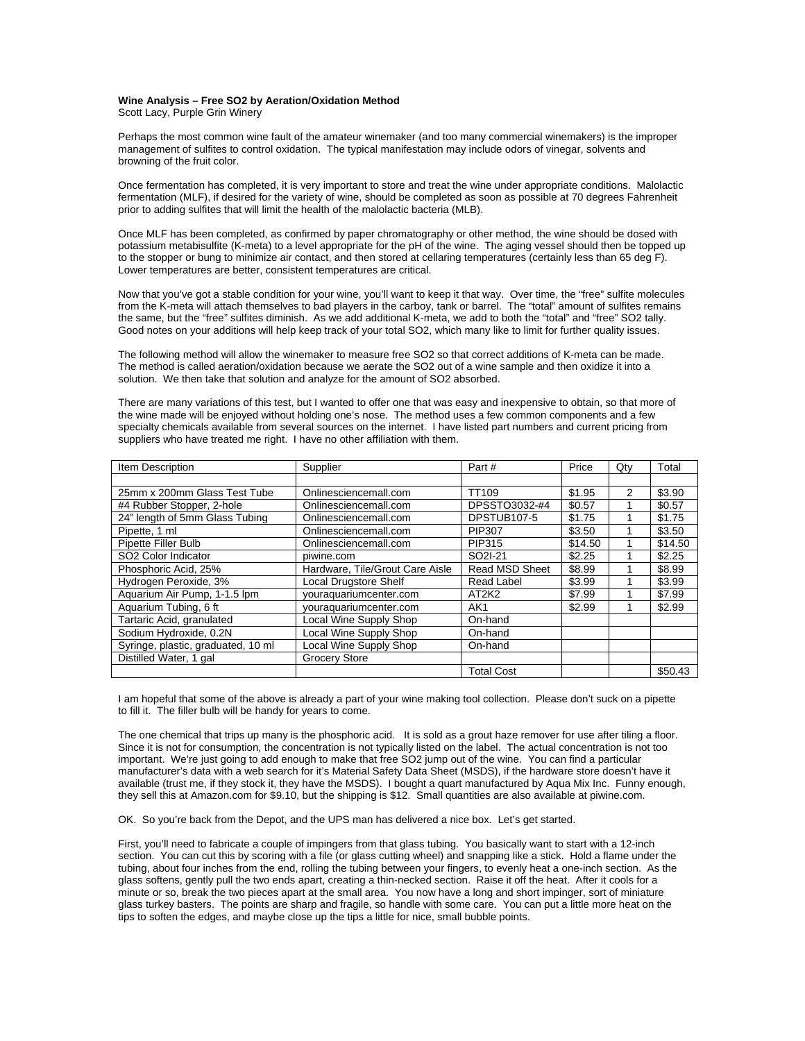## **Wine Analysis – Free SO2 by Aeration/Oxidation Method**

Scott Lacy, Purple Grin Winery

Perhaps the most common wine fault of the amateur winemaker (and too many commercial winemakers) is the improper management of sulfites to control oxidation. The typical manifestation may include odors of vinegar, solvents and browning of the fruit color.

Once fermentation has completed, it is very important to store and treat the wine under appropriate conditions. Malolactic fermentation (MLF), if desired for the variety of wine, should be completed as soon as possible at 70 degrees Fahrenheit prior to adding sulfites that will limit the health of the malolactic bacteria (MLB).

Once MLF has been completed, as confirmed by paper chromatography or other method, the wine should be dosed with potassium metabisulfite (K-meta) to a level appropriate for the pH of the wine. The aging vessel should then be topped up to the stopper or bung to minimize air contact, and then stored at cellaring temperatures (certainly less than 65 deg F). Lower temperatures are better, consistent temperatures are critical.

Now that you've got a stable condition for your wine, you'll want to keep it that way. Over time, the "free" sulfite molecules from the K-meta will attach themselves to bad players in the carboy, tank or barrel. The "total" amount of sulfites remains the same, but the "free" sulfites diminish. As we add additional K-meta, we add to both the "total" and "free" SO2 tally. Good notes on your additions will help keep track of your total SO2, which many like to limit for further quality issues.

The following method will allow the winemaker to measure free SO2 so that correct additions of K-meta can be made. The method is called aeration/oxidation because we aerate the SO2 out of a wine sample and then oxidize it into a solution. We then take that solution and analyze for the amount of SO2 absorbed.

There are many variations of this test, but I wanted to offer one that was easy and inexpensive to obtain, so that more of the wine made will be enjoyed without holding one's nose. The method uses a few common components and a few specialty chemicals available from several sources on the internet. I have listed part numbers and current pricing from suppliers who have treated me right. I have no other affiliation with them.

| Item Description                   | Supplier                        | Part#                          | Price   | Qty            | Total   |
|------------------------------------|---------------------------------|--------------------------------|---------|----------------|---------|
|                                    |                                 |                                |         |                |         |
| 25mm x 200mm Glass Test Tube       | Onlinesciencemall.com           | TT <sub>109</sub>              | \$1.95  | $\overline{2}$ | \$3.90  |
| #4 Rubber Stopper, 2-hole          | Onlinesciencemall.com           | DPSSTO3032-#4                  | \$0.57  |                | \$0.57  |
| 24" length of 5mm Glass Tubing     | Onlinesciencemall.com           | DPSTUB107-5                    | \$1.75  |                | \$1.75  |
| Pipette, 1 ml                      | Onlinesciencemall.com           | PIP307                         | \$3.50  |                | \$3.50  |
| Pipette Filler Bulb                | Onlinesciencemall.com           | PIP315                         | \$14.50 |                | \$14.50 |
| SO2 Color Indicator                | piwine.com                      | SO <sub>2</sub> I-21           | \$2.25  |                | \$2.25  |
| Phosphoric Acid, 25%               | Hardware, Tile/Grout Care Aisle | <b>Read MSD Sheet</b>          | \$8.99  |                | \$8.99  |
| Hydrogen Peroxide, 3%              | Local Drugstore Shelf           | <b>Read Label</b>              | \$3.99  |                | \$3.99  |
| Aquarium Air Pump, 1-1.5 lpm       | youraquariumcenter.com          | AT <sub>2</sub> K <sub>2</sub> | \$7.99  |                | \$7.99  |
| Aquarium Tubing, 6 ft              | youraquariumcenter.com          | AK <sub>1</sub>                | \$2.99  |                | \$2.99  |
| Tartaric Acid, granulated          | Local Wine Supply Shop          | On-hand                        |         |                |         |
| Sodium Hydroxide, 0.2N             | Local Wine Supply Shop          | On-hand                        |         |                |         |
| Syringe, plastic, graduated, 10 ml | Local Wine Supply Shop          | On-hand                        |         |                |         |
| Distilled Water, 1 gal             | Grocery Store                   |                                |         |                |         |
|                                    |                                 | <b>Total Cost</b>              |         |                | \$50.43 |

I am hopeful that some of the above is already a part of your wine making tool collection. Please don't suck on a pipette to fill it. The filler bulb will be handy for years to come.

The one chemical that trips up many is the phosphoric acid. It is sold as a grout haze remover for use after tiling a floor. Since it is not for consumption, the concentration is not typically listed on the label. The actual concentration is not too important. We're just going to add enough to make that free SO2 jump out of the wine. You can find a particular manufacturer's data with a web search for it's Material Safety Data Sheet (MSDS), if the hardware store doesn't have it available (trust me, if they stock it, they have the MSDS). I bought a quart manufactured by Aqua Mix Inc. Funny enough, they sell this at Amazon.com for \$9.10, but the shipping is \$12. Small quantities are also available at piwine.com.

OK. So you're back from the Depot, and the UPS man has delivered a nice box. Let's get started.

First, you'll need to fabricate a couple of impingers from that glass tubing. You basically want to start with a 12-inch section. You can cut this by scoring with a file (or glass cutting wheel) and snapping like a stick. Hold a flame under the tubing, about four inches from the end, rolling the tubing between your fingers, to evenly heat a one-inch section. As the glass softens, gently pull the two ends apart, creating a thin-necked section. Raise it off the heat. After it cools for a minute or so, break the two pieces apart at the small area. You now have a long and short impinger, sort of miniature glass turkey basters. The points are sharp and fragile, so handle with some care. You can put a little more heat on the tips to soften the edges, and maybe close up the tips a little for nice, small bubble points.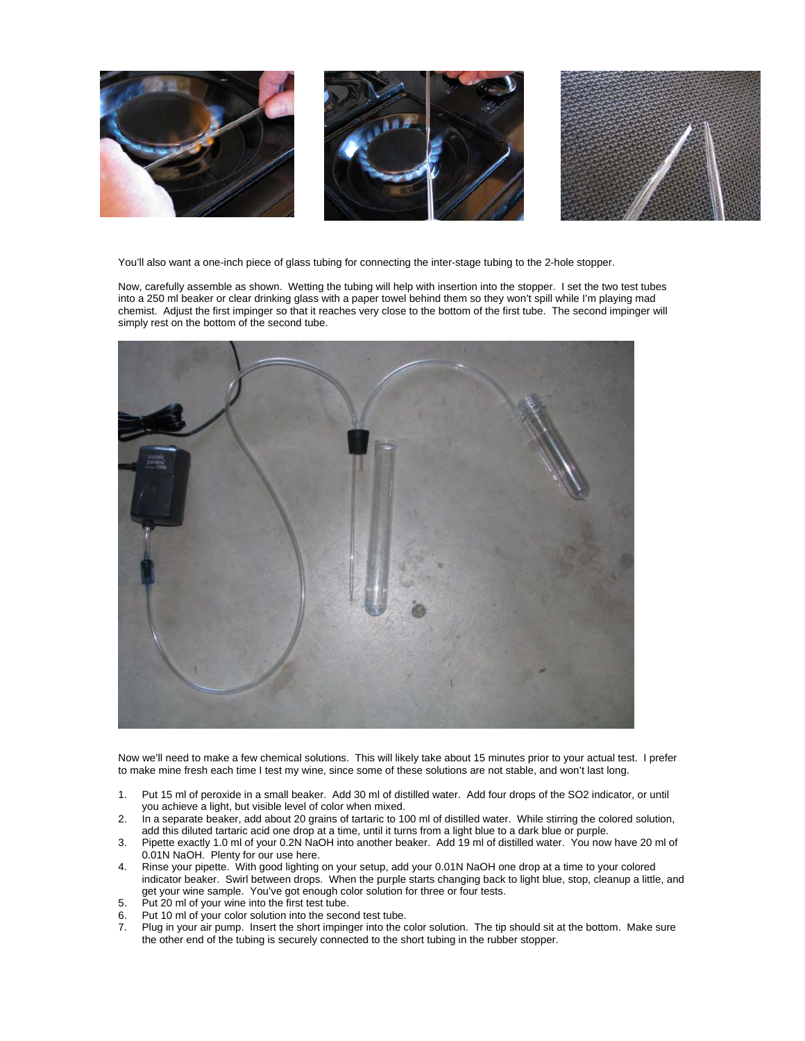

You'll also want a one-inch piece of glass tubing for connecting the inter-stage tubing to the 2-hole stopper.

Now, carefully assemble as shown. Wetting the tubing will help with insertion into the stopper. I set the two test tubes into a 250 ml beaker or clear drinking glass with a paper towel behind them so they won't spill while I'm playing mad chemist. Adjust the first impinger so that it reaches very close to the bottom of the first tube. The second impinger will simply rest on the bottom of the second tube.



Now we'll need to make a few chemical solutions. This will likely take about 15 minutes prior to your actual test. I prefer to make mine fresh each time I test my wine, since some of these solutions are not stable, and won't last long.

- 1. Put 15 ml of peroxide in a small beaker. Add 30 ml of distilled water. Add four drops of the SO2 indicator, or until you achieve a light, but visible level of color when mixed.
- 2. In a separate beaker, add about 20 grains of tartaric to 100 ml of distilled water. While stirring the colored solution, add this diluted tartaric acid one drop at a time, until it turns from a light blue to a dark blue or purple.
- 3. Pipette exactly 1.0 ml of your 0.2N NaOH into another beaker. Add 19 ml of distilled water. You now have 20 ml of 0.01N NaOH. Plenty for our use here.
- 4. Rinse your pipette. With good lighting on your setup, add your 0.01N NaOH one drop at a time to your colored indicator beaker. Swirl between drops. When the purple starts changing back to light blue, stop, cleanup a little, and get your wine sample. You've got enough color solution for three or four tests.
- 5. Put 20 ml of your wine into the first test tube.
- 6. Put 10 ml of your color solution into the second test tube.
- 7. Plug in your air pump. Insert the short impinger into the color solution. The tip should sit at the bottom. Make sure the other end of the tubing is securely connected to the short tubing in the rubber stopper.